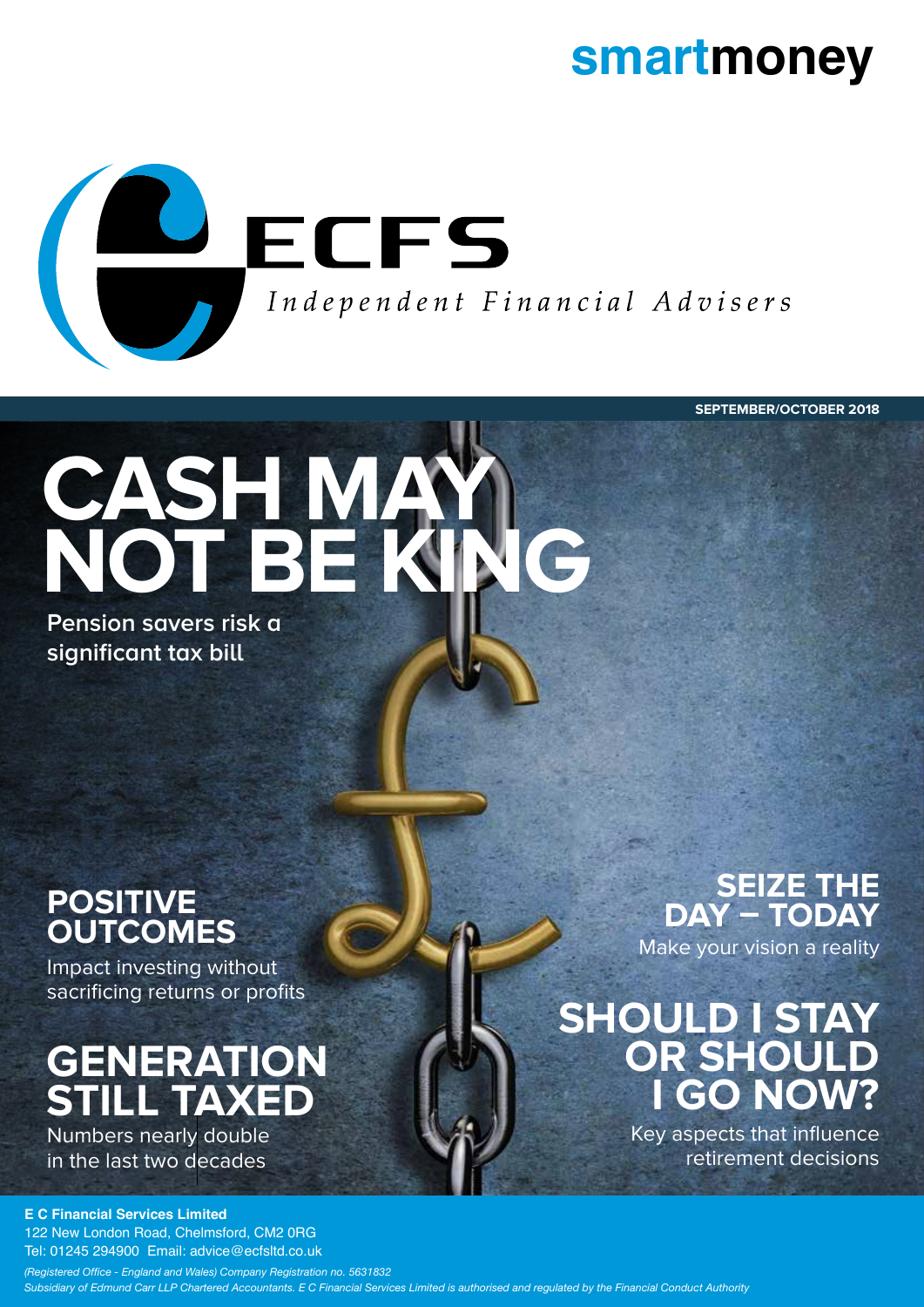### **smartmoney**



**SEPTEMBER/OCTOBER 2018**

# **CASH MAY NOT BE KING**

**Pension savers risk a significant tax bill** 

### **POSITIVE OUTCOMES**

Impact investing without sacrificing returns or profits

### **GENERATION STILL TAXED**

Numbers nearly double in the last two decades

## **SEIZE THE<br>DAY - TODAY**

Make your vision a reality

### **SHOULD I STAY OR SHOULD I GO NOW?**

Key aspects that influence retirement decisions

#### **E C Financial Services Limited**

122 New London Road, Chelmsford, CM2 0RG Tel: 01245 294900 Email: advice@ecfsltd.co.uk

*(Registered Office - England and Wales) Company Registration no. 5631832 Subsidiary of Edmund Carr LLP Chartered Accountants. E C Financial Services Limited is authorised and regulated by the Financial Conduct Authority*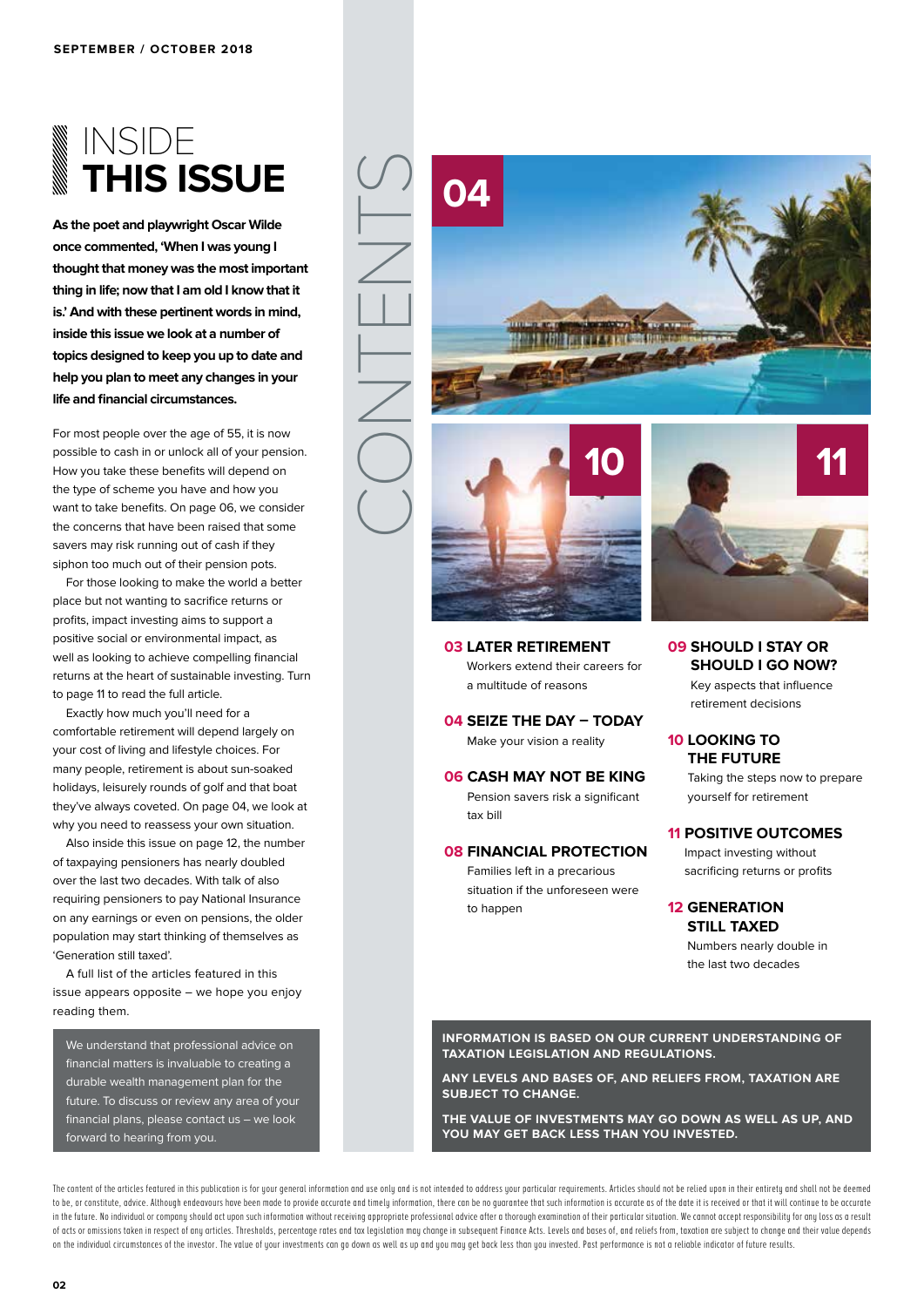### INSIDE **THIS ISSUE**

**As the poet and playwright Oscar Wilde once commented, 'When I was young I thought that money was the most important thing in life; now that I am old I know that it is.' And with these pertinent words in mind, inside this issue we look at a number of topics designed to keep you up to date and help you plan to meet any changes in your life and financial circumstances.**

For most people over the age of 55, it is now possible to cash in or unlock all of your pension. How you take these benefits will depend on the type of scheme you have and how you want to take benefits. On page 06, we consider the concerns that have been raised that some savers may risk running out of cash if they siphon too much out of their pension pots.

For those looking to make the world a better place but not wanting to sacrifice returns or profits, impact investing aims to support a positive social or environmental impact, as well as looking to achieve compelling financial returns at the heart of sustainable investing. Turn to page 11 to read the full article.

Exactly how much you'll need for a comfortable retirement will depend largely on your cost of living and lifestyle choices. For many people, retirement is about sun-soaked holidays, leisurely rounds of golf and that boat they've always coveted. On page 04, we look at why you need to reassess your own situation.

Also inside this issue on page 12, the number of taxpaying pensioners has nearly doubled over the last two decades. With talk of also requiring pensioners to pay National Insurance on any earnings or even on pensions, the older population may start thinking of themselves as 'Generation still taxed'.

A full list of the articles featured in this issue appears opposite – we hope you enjoy reading them.

We understand that professional advice on financial matters is invaluable to creating a durable wealth management plan for the future. To discuss or review any area of your financial plans, please contact us – we look forward to hearing from you.





**03 LATER RETIREMENT** Workers extend their careers for a multitude of reasons

**04 SEIZE THE DAY – TODAY** Make your vision a reality

**06 CASH MAY NOT BE KING** Pension savers risk a significant tax bill

#### **08 FINANCIAL PROTECTION**

Families left in a precarious situation if the unforeseen were to happen



**09 SHOULD I STAY OR SHOULD I GO NOW?**

> Key aspects that influence retirement decisions

#### **10 LOOKING TO THE FUTURE**

Taking the steps now to prepare yourself for retirement

#### **11 POSITIVE OUTCOMES**

Impact investing without sacrificing returns or profits

#### **12 GENERATION STILL TAXED**

Numbers nearly double in the last two decades

**INFORMATION IS BASED ON OUR CURRENT UNDERSTANDING OF TAXATION LEGISLATION AND REGULATIONS.** 

**ANY LEVELS AND BASES OF, AND RELIEFS FROM, TAXATION ARE SUBJECT TO CHANGE.**

**THE VALUE OF INVESTMENTS MAY GO DOWN AS WELL AS UP, AND YOU MAY GET BACK LESS THAN YOU INVESTED.**

The content of the articles featured in this publication is for your general information and use only and is not intended to address your particular requirements. Articles should not be relied upon in their entirety and sh to be, or constitute, advice. Although endeavours have been made to provide accurate and timely information, there can be no quarantee that such information is accurate as of the date it is received or that it will continu in the future. No individual or company should act upon such information without receiving appropriate professional advice after a thorough examination of their particular situation. We cannot accept responsibility for any of acts or omissions taken in respect of any articles. Thresholds, percentage rates and tax legislation may change in subsequent Finance Acts. Levels and bases of, and reliefs from, taxation are subject to change and their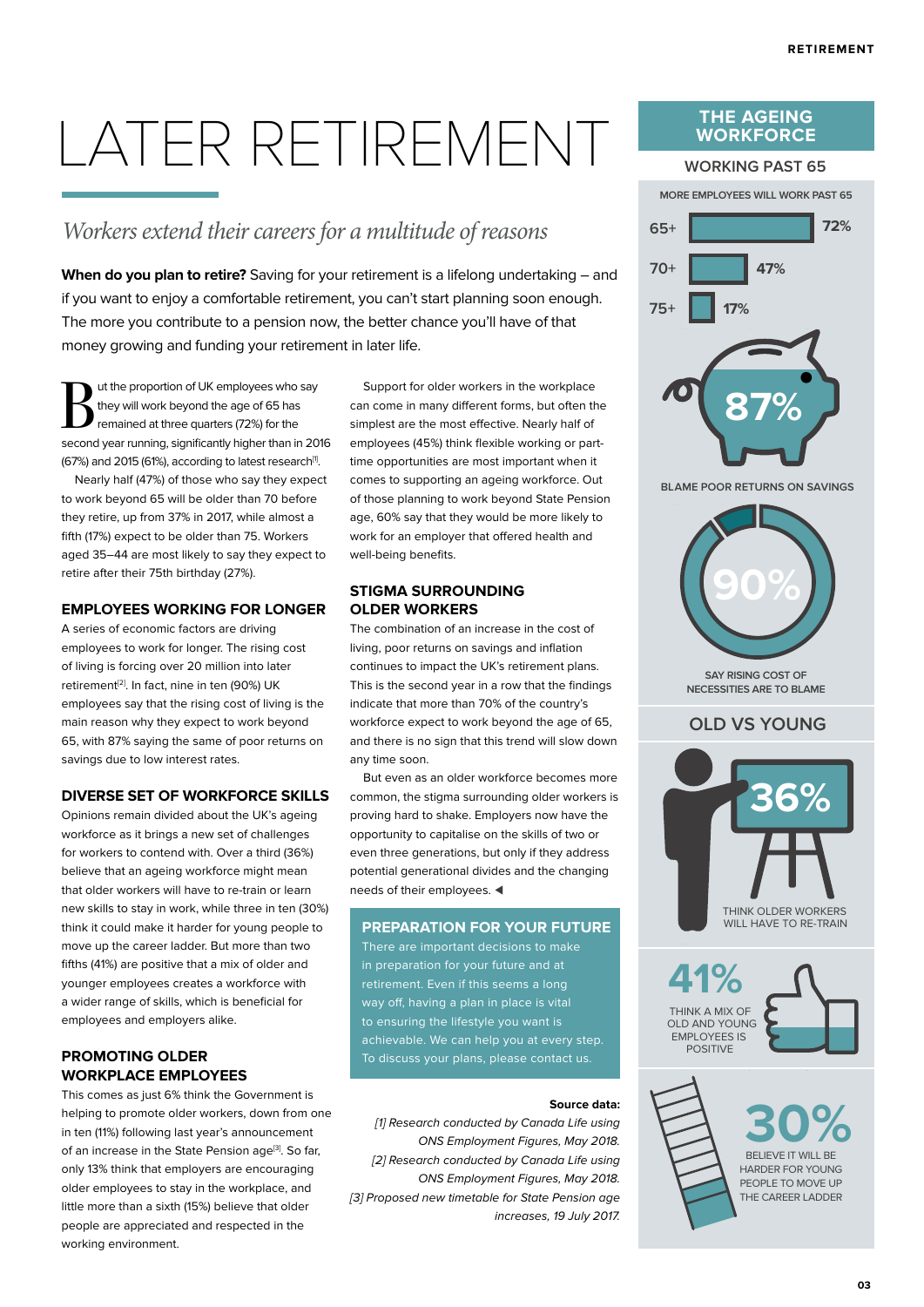## LATER RETIREMENT

#### *Workers extend their careers for a multitude of reasons*

When do you plan to retire? Saving for your retirement is a lifelong undertaking – and if you want to enjoy a comfortable retirement, you can't start planning soon enough. The more you contribute to a pension now, the better chance you'll have of that money growing and funding your retirement in later life.

ut the proportion of UK employees who say they will work beyond the age of 65 has remained at three quarters (72%) for the second year running, significantly higher than in 2016 (67%) and 2015 (61%), according to latest research<sup>[1]</sup>.

Nearly half (47%) of those who say they expect to work beyond 65 will be older than 70 before they retire, up from 37% in 2017, while almost a fifth (17%) expect to be older than 75. Workers aged 35–44 are most likely to say they expect to retire after their 75th birthday (27%).

#### **EMPLOYEES WORKING FOR LONGER**

A series of economic factors are driving employees to work for longer. The rising cost of living is forcing over 20 million into later retirement<sup>[2]</sup>. In fact, nine in ten (90%) UK employees say that the rising cost of living is the main reason why they expect to work beyond 65, with 87% saying the same of poor returns on savings due to low interest rates.

#### **DIVERSE SET OF WORKFORCE SKILLS**

Opinions remain divided about the UK's ageing workforce as it brings a new set of challenges for workers to contend with. Over a third (36%) believe that an ageing workforce might mean that older workers will have to re-train or learn new skills to stay in work, while three in ten (30%) think it could make it harder for young people to move up the career ladder. But more than two fifths (41%) are positive that a mix of older and younger employees creates a workforce with a wider range of skills, which is beneficial for employees and employers alike.

#### **PROMOTING OLDER WORKPLACE EMPLOYEES**

This comes as just 6% think the Government is helping to promote older workers, down from one in ten (11%) following last year's announcement of an increase in the State Pension age<sup>[3]</sup>. So far, only 13% think that employers are encouraging older employees to stay in the workplace, and little more than a sixth (15%) believe that older people are appreciated and respected in the working environment.

Support for older workers in the workplace can come in many different forms, but often the simplest are the most effective. Nearly half of employees (45%) think flexible working or parttime opportunities are most important when it comes to supporting an ageing workforce. Out of those planning to work beyond State Pension age, 60% say that they would be more likely to work for an employer that offered health and well-being benefits.

#### **STIGMA SURROUNDING OLDER WORKERS**

The combination of an increase in the cost of living, poor returns on savings and inflation continues to impact the UK's retirement plans. This is the second year in a row that the findings indicate that more than 70% of the country's workforce expect to work beyond the age of 65, and there is no sign that this trend will slow down any time soon.

But even as an older workforce becomes more common, the stigma surrounding older workers is proving hard to shake. Employers now have the opportunity to capitalise on the skills of two or even three generations, but only if they address potential generational divides and the changing needs of their employees.  $\blacktriangleleft$ 

#### **PREPARATION FOR YOUR FUTURE**

There are important decisions to make in preparation for your future and at retirement. Even if this seems a long way off, having a plan in place is vital to ensuring the lifestyle you want is achievable. We can help you at every step. To discuss your plans, please contact us.

#### **Source data:**

[1] Research conducted by Canada Life using ONS Employment Figures, May 2018. [2] Research conducted by Canada Life using ONS Employment Figures, May 2018. [3] Proposed new timetable for State Pension age increases, 19 July 2017.

#### **THE AGEING WORKFORCE**



**SAY RISING COST OF NECESSITIES ARE TO BLAME**

#### **OLD VS YOUNG**



**41%** THINK A MIX OF OLD AND YOUNG EMPLOYEES IS POSITIVE



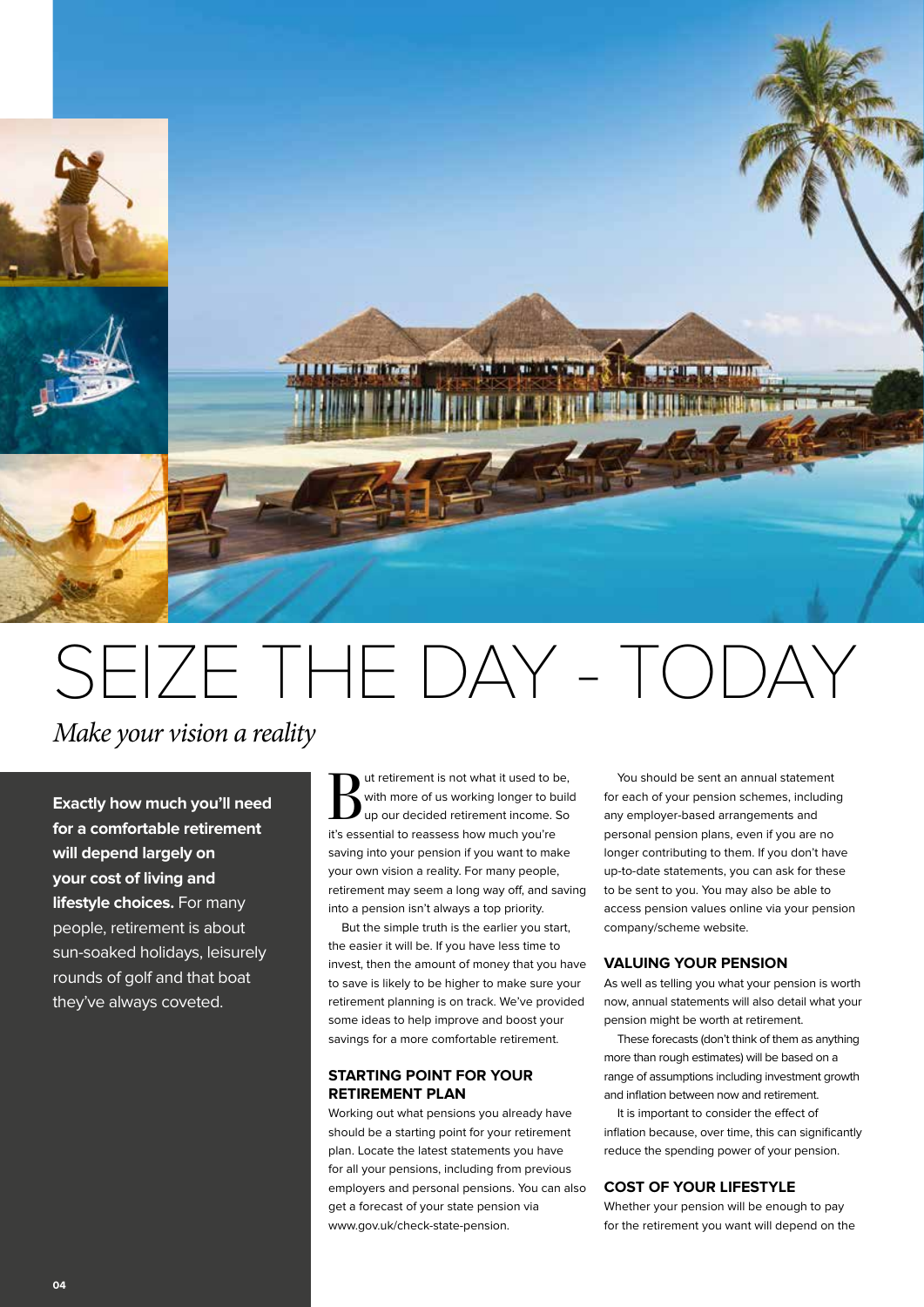

## SEIZE THE DAY - TODAY

*Make your vision a reality*

**Exactly how much you'll need for a comfortable retirement will depend largely on your cost of living and lifestyle choices.** For many people, retirement is about sun-soaked holidays, leisurely rounds of golf and that boat they've always coveted.

**But retirement is not what it used to be,**<br>with more of us working longer to build<br>up our decided retirement income. So with more of us working longer to build it's essential to reassess how much you're saving into your pension if you want to make your own vision a reality. For many people, retirement may seem a long way off, and saving into a pension isn't always a top priority.

But the simple truth is the earlier you start, the easier it will be. If you have less time to invest, then the amount of money that you have to save is likely to be higher to make sure your retirement planning is on track. We've provided some ideas to help improve and boost your savings for a more comfortable retirement.

#### **STARTING POINT FOR YOUR RETIREMENT PLAN**

Working out what pensions you already have should be a starting point for your retirement plan. Locate the latest statements you have for all your pensions, including from previous employers and personal pensions. You can also get a forecast of your state pension via www.gov.uk/check-state-pension.

You should be sent an annual statement for each of your pension schemes, including any employer-based arrangements and personal pension plans, even if you are no longer contributing to them. If you don't have up-to-date statements, you can ask for these to be sent to you. You may also be able to access pension values online via your pension company/scheme website.

#### **VALUING YOUR PENSION**

As well as telling you what your pension is worth now, annual statements will also detail what your pension might be worth at retirement.

These forecasts (don't think of them as anything more than rough estimates) will be based on a range of assumptions including investment growth and inflation between now and retirement.

It is important to consider the effect of inflation because, over time, this can significantly reduce the spending power of your pension.

#### **COST OF YOUR LIFESTYLE**

Whether your pension will be enough to pay for the retirement you want will depend on the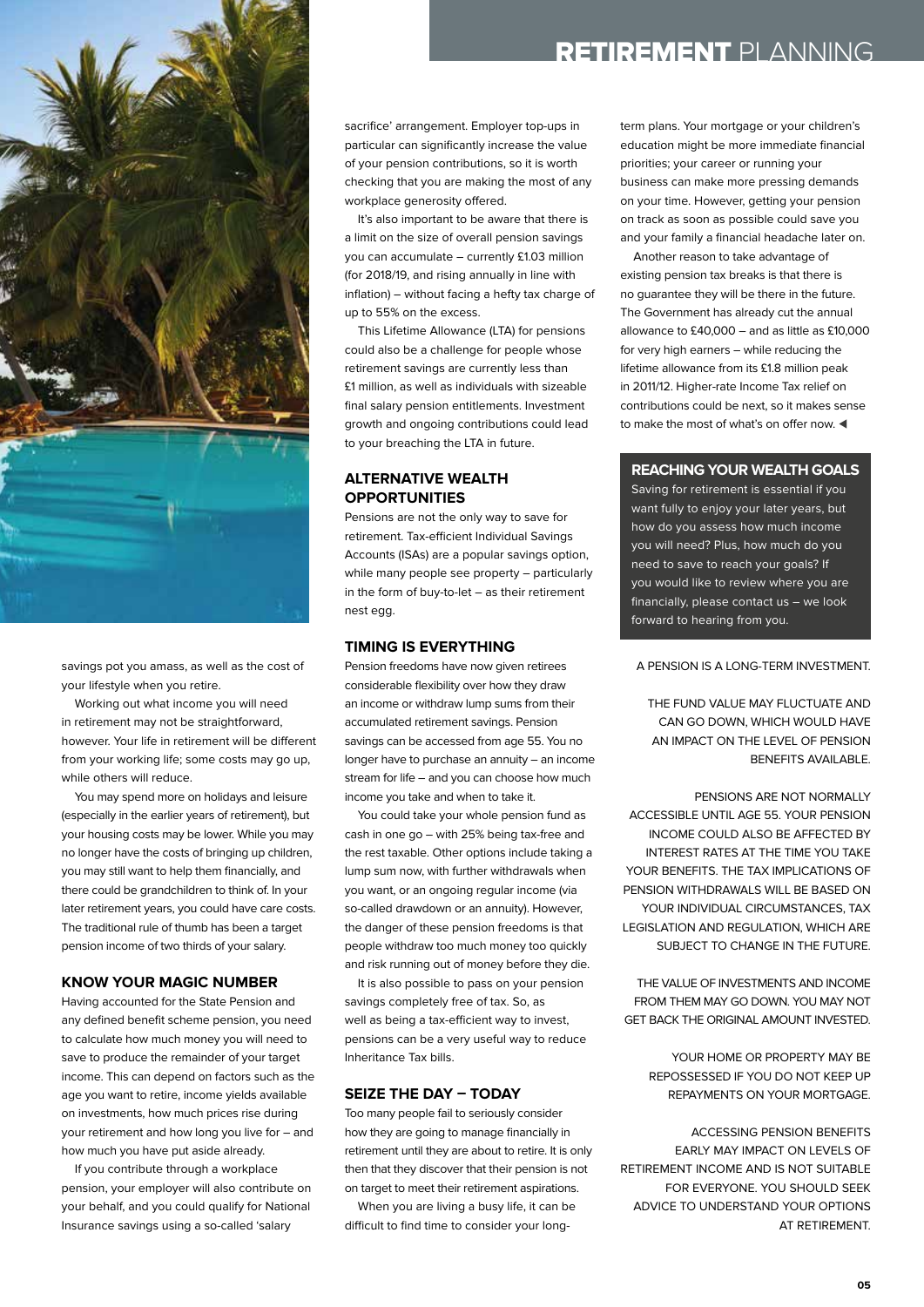

savings pot you amass, as well as the cost of your lifestyle when you retire.

Working out what income you will need in retirement may not be straightforward, however. Your life in retirement will be different from your working life; some costs may go up, while others will reduce.

You may spend more on holidays and leisure (especially in the earlier years of retirement), but your housing costs may be lower. While you may no longer have the costs of bringing up children, you may still want to help them financially, and there could be grandchildren to think of. In your later retirement years, you could have care costs. The traditional rule of thumb has been a target pension income of two thirds of your salary.

#### **KNOW YOUR MAGIC NUMBER**

Having accounted for the State Pension and any defined benefit scheme pension, you need to calculate how much money you will need to save to produce the remainder of your target income. This can depend on factors such as the age you want to retire, income yields available on investments, how much prices rise during your retirement and how long you live for – and how much you have put aside already.

If you contribute through a workplace pension, your employer will also contribute on your behalf, and you could qualify for National Insurance savings using a so-called 'salary

#### RETIREMENT PLANNING

sacrifice' arrangement. Employer top-ups in particular can significantly increase the value of your pension contributions, so it is worth checking that you are making the most of any workplace generosity offered.

It's also important to be aware that there is a limit on the size of overall pension savings you can accumulate – currently £1.03 million (for 2018/19, and rising annually in line with inflation) – without facing a hefty tax charge of up to 55% on the excess.

This Lifetime Allowance (LTA) for pensions could also be a challenge for people whose retirement savings are currently less than £1 million, as well as individuals with sizeable final salary pension entitlements. Investment growth and ongoing contributions could lead to your breaching the LTA in future.

#### **ALTERNATIVE WEALTH OPPORTUNITIES**

Pensions are not the only way to save for retirement. Tax-efficient Individual Savings Accounts (ISAs) are a popular savings option, while many people see property – particularly in the form of buy-to-let – as their retirement nest egg.

#### **TIMING IS EVERYTHING**

Pension freedoms have now given retirees considerable flexibility over how they draw an income or withdraw lump sums from their accumulated retirement savings. Pension savings can be accessed from age 55. You no longer have to purchase an annuity – an income stream for life – and you can choose how much income you take and when to take it.

You could take your whole pension fund as cash in one go – with 25% being tax-free and the rest taxable. Other options include taking a lump sum now, with further withdrawals when you want, or an ongoing regular income (via so-called drawdown or an annuity). However, the danger of these pension freedoms is that people withdraw too much money too quickly and risk running out of money before they die.

It is also possible to pass on your pension savings completely free of tax. So, as well as being a tax-efficient way to invest, pensions can be a very useful way to reduce Inheritance Tax bills.

#### **SEIZE THE DAY – TODAY**

Too many people fail to seriously consider how they are going to manage financially in retirement until they are about to retire. It is only then that they discover that their pension is not on target to meet their retirement aspirations.

When you are living a busy life, it can be difficult to find time to consider your longterm plans. Your mortgage or your children's education might be more immediate financial priorities; your career or running your business can make more pressing demands on your time. However, getting your pension on track as soon as possible could save you and your family a financial headache later on.

Another reason to take advantage of existing pension tax breaks is that there is no guarantee they will be there in the future. The Government has already cut the annual allowance to £40,000 – and as little as £10,000 for very high earners – while reducing the lifetime allowance from its £1.8 million peak in 2011/12. Higher-rate Income Tax relief on contributions could be next, so it makes sense to make the most of what's on offer now.  $\blacktriangleleft$ 

#### **REACHING YOUR WEALTH GOALS**

Saving for retirement is essential if you want fully to enjoy your later years, but how do you assess how much income you will need? Plus, how much do you need to save to reach your goals? If you would like to review where you are financially, please contact us – we look forward to hearing from you.

#### A PENSION IS A LONG-TERM INVESTMENT.

THE FUND VALUE MAY FLUCTUATE AND CAN GO DOWN, WHICH WOULD HAVE AN IMPACT ON THE LEVEL OF PENSION BENEFITS AVAILABLE.

PENSIONS ARE NOT NORMALLY ACCESSIBLE UNTIL AGE 55. YOUR PENSION INCOME COULD ALSO BE AFFECTED BY INTEREST RATES AT THE TIME YOU TAKE YOUR BENEFITS. THE TAX IMPLICATIONS OF PENSION WITHDRAWALS WILL BE BASED ON YOUR INDIVIDUAL CIRCUMSTANCES, TAX LEGISLATION AND REGULATION, WHICH ARE SUBJECT TO CHANGE IN THE FUTURE.

THE VALUE OF INVESTMENTS AND INCOME FROM THEM MAY GO DOWN. YOU MAY NOT GET BACK THE ORIGINAL AMOUNT INVESTED.

YOUR HOME OR PROPERTY MAY BE REPOSSESSED IF YOU DO NOT KEEP UP REPAYMENTS ON YOUR MORTGAGE.

ACCESSING PENSION BENEFITS EARLY MAY IMPACT ON LEVELS OF RETIREMENT INCOME AND IS NOT SUITABLE FOR EVERYONE. YOU SHOULD SEEK ADVICE TO UNDERSTAND YOUR OPTIONS AT RETIREMENT.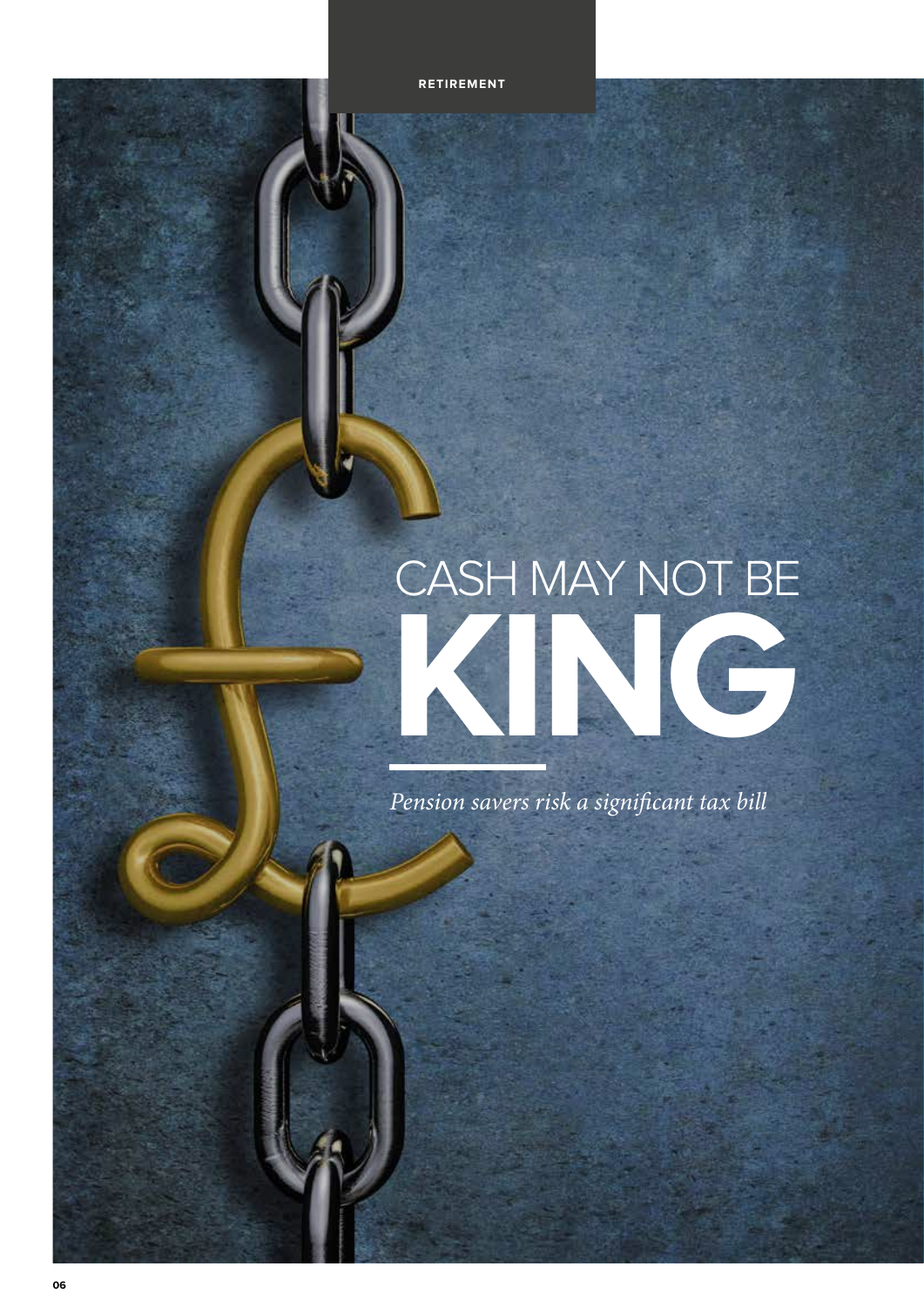# CASH MAY NOT BE **KINGRETTING**

*Pension savers risk a significant tax bill*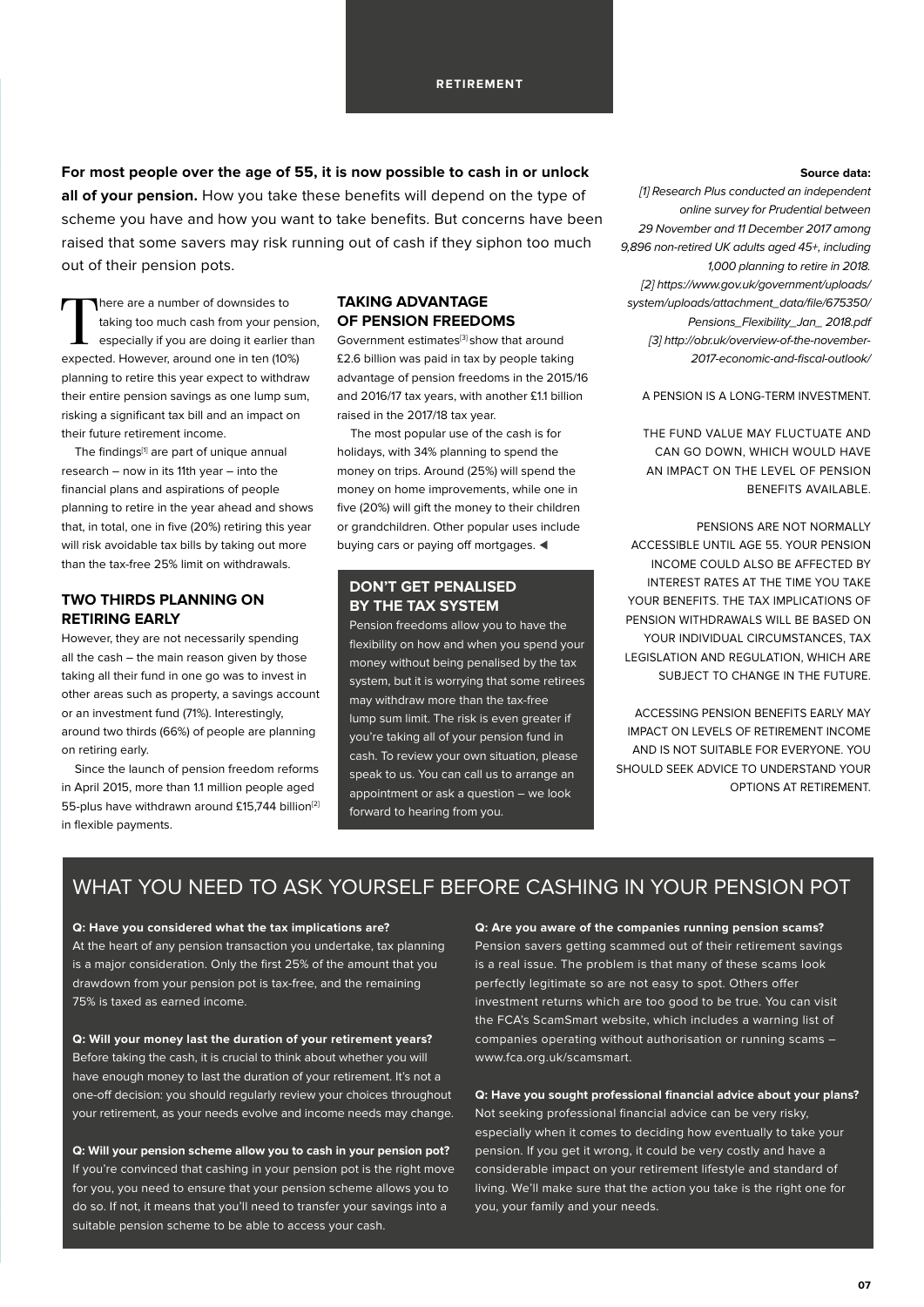**For most people over the age of 55, it is now possible to cash in or unlock all of your pension.** How you take these benefits will depend on the type of scheme you have and how you want to take benefits. But concerns have been raised that some savers may risk running out of cash if they siphon too much out of their pension pots.

There are a number of downsides to taking too much cash from your pension, especially if you are doing it earlier than expected. However, around one in ten (10%) planning to retire this year expect to withdraw their entire pension savings as one lump sum, risking a significant tax bill and an impact on their future retirement income.

The findings<sup>[1]</sup> are part of unique annual research – now in its 11th year – into the financial plans and aspirations of people planning to retire in the year ahead and shows that, in total, one in five (20%) retiring this year will risk avoidable tax bills by taking out more than the tax-free 25% limit on withdrawals.

#### **TWO THIRDS PLANNING ON RETIRING EARLY**

However, they are not necessarily spending all the cash – the main reason given by those taking all their fund in one go was to invest in other areas such as property, a savings account or an investment fund (71%). Interestingly, around two thirds (66%) of people are planning on retiring early.

Since the launch of pension freedom reforms in April 2015, more than 1.1 million people aged 55-plus have withdrawn around £15,744 billion<sup>[2]</sup> in flexible payments.

#### **TAKING ADVANTAGE OF PENSION FREEDOMS**

Government estimates[3] show that around £2.6 billion was paid in tax by people taking advantage of pension freedoms in the 2015/16 and 2016/17 tax years, with another £1.1 billion raised in the 2017/18 tax year.

The most popular use of the cash is for holidays, with 34% planning to spend the money on trips. Around (25%) will spend the money on home improvements, while one in five (20%) will gift the money to their children or grandchildren. Other popular uses include buying cars or paying off mortgages.  $\triangleleft$ 

#### **DON'T GET PENALISED BY THE TAX SYSTEM**

Pension freedoms allow you to have the flexibility on how and when you spend your money without being penalised by the tax system, but it is worrying that some retirees may withdraw more than the tax-free lump sum limit. The risk is even greater if you're taking all of your pension fund in cash. To review your own situation, please speak to us. You can call us to arrange an appointment or ask a question – we look forward to hearing from you.

#### **Source data:**

[1] Research Plus conducted an independent online survey for Prudential between 29 November and 11 December 2017 among 9,896 non-retired UK adults aged 45+, including 1,000 planning to retire in 2018. [2] https://www.gov.uk/government/uploads/ system/uploads/attachment\_data/file/675350/ Pensions\_Flexibility\_Jan\_ 2018.pdf [3] http://obr.uk/overview-of-the-november-2017-economic-and-fiscal-outlook/

A PENSION IS A LONG-TERM INVESTMENT.

THE FUND VALUE MAY FLUCTUATE AND CAN GO DOWN, WHICH WOULD HAVE AN IMPACT ON THE LEVEL OF PENSION BENEFITS AVAILABLE.

PENSIONS ARE NOT NORMALLY ACCESSIBLE UNTIL AGE 55. YOUR PENSION INCOME COULD ALSO BE AFFECTED BY INTEREST RATES AT THE TIME YOU TAKE YOUR BENEFITS. THE TAX IMPLICATIONS OF PENSION WITHDRAWALS WILL BE BASED ON YOUR INDIVIDUAL CIRCUMSTANCES, TAX LEGISLATION AND REGULATION, WHICH ARE SUBJECT TO CHANGE IN THE FUTURE.

ACCESSING PENSION BENEFITS EARLY MAY IMPACT ON LEVELS OF RETIREMENT INCOME AND IS NOT SUITABLE FOR EVERYONE. YOU SHOULD SEEK ADVICE TO UNDERSTAND YOUR OPTIONS AT RETIREMENT.

#### WHAT YOU NEED TO ASK YOURSELF BEFORE CASHING IN YOUR PENSION POT

#### **Q: Have you considered what the tax implications are?**

At the heart of any pension transaction you undertake, tax planning is a major consideration. Only the first 25% of the amount that you drawdown from your pension pot is tax-free, and the remaining 75% is taxed as earned income.

**Q: Will your money last the duration of your retirement years?** Before taking the cash, it is crucial to think about whether you will have enough money to last the duration of your retirement. It's not a one-off decision: you should regularly review your choices throughout your retirement, as your needs evolve and income needs may change.

**Q: Will your pension scheme allow you to cash in your pension pot?** If you're convinced that cashing in your pension pot is the right move for you, you need to ensure that your pension scheme allows you to do so. If not, it means that you'll need to transfer your savings into a suitable pension scheme to be able to access your cash.

**Q: Are you aware of the companies running pension scams?** Pension savers getting scammed out of their retirement savings is a real issue. The problem is that many of these scams look perfectly legitimate so are not easy to spot. Others offer investment returns which are too good to be true. You can visit the FCA's ScamSmart website, which includes a warning list of companies operating without authorisation or running scams – www.fca.org.uk/scamsmart.

**Q: Have you sought professional financial advice about your plans?** Not seeking professional financial advice can be very risky, especially when it comes to deciding how eventually to take your pension. If you get it wrong, it could be very costly and have a considerable impact on your retirement lifestyle and standard of living. We'll make sure that the action you take is the right one for you, your family and your needs.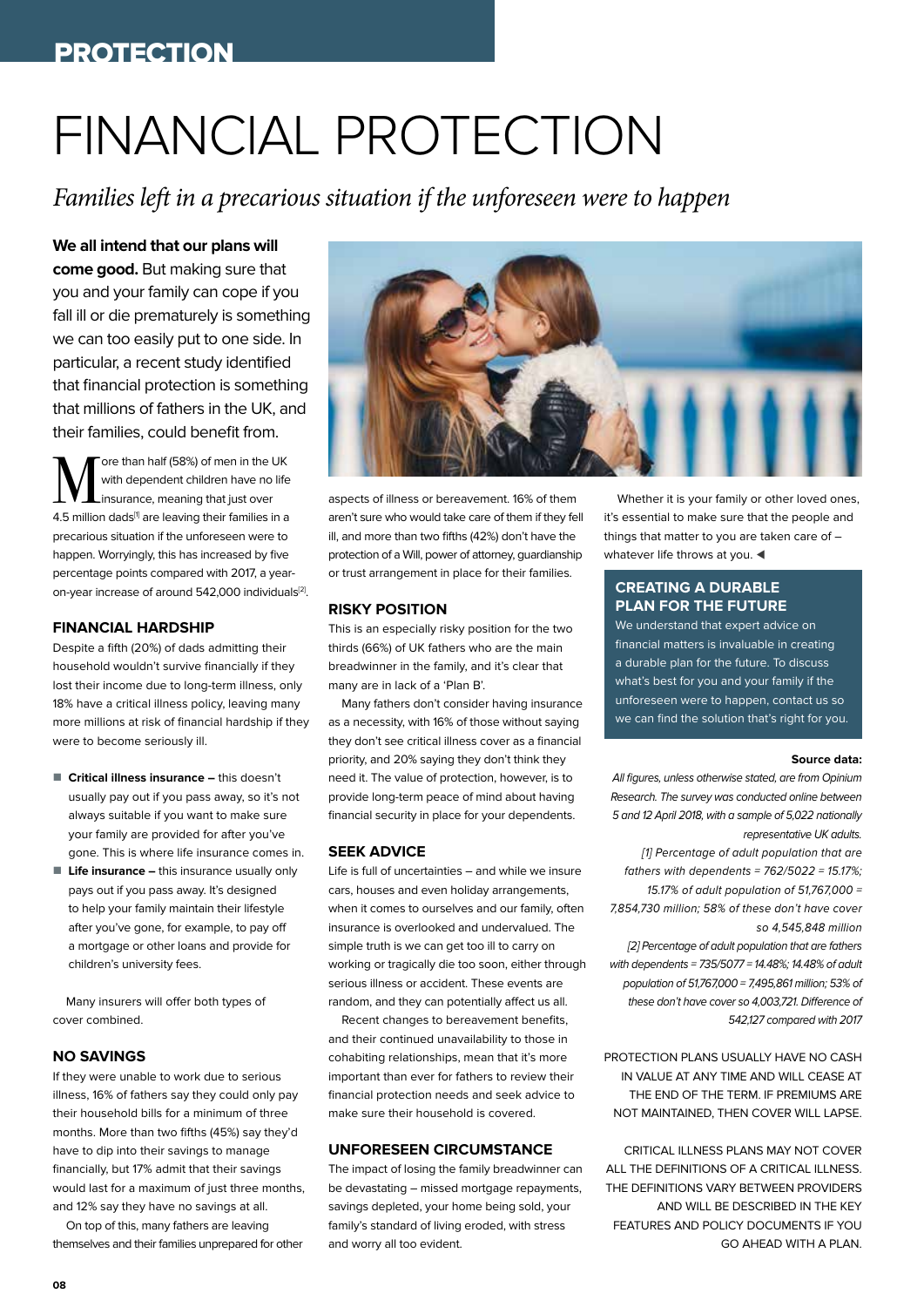#### PROTECTION

## FINANCIAL PROTECTION

*Families left in a precarious situation if the unforeseen were to happen*

#### **We all intend that our plans will**

**come good.** But making sure that you and your family can cope if you fall ill or die prematurely is something we can too easily put to one side. In particular, a recent study identified that financial protection is something that millions of fathers in the UK, and their families, could benefit from.

**M** ore than half (58%) of men in the UK<br>
insurance, meaning that just over with dependent children have no life 4.5 million dads<sup>[1]</sup> are leaving their families in a precarious situation if the unforeseen were to happen. Worryingly, this has increased by five percentage points compared with 2017, a yearon-year increase of around 542,000 individuals<sup>[2]</sup>.

#### **FINANCIAL HARDSHIP**

Despite a fifth (20%) of dads admitting their household wouldn't survive financially if they lost their income due to long-term illness, only 18% have a critical illness policy, leaving many more millions at risk of financial hardship if they were to become seriously ill.

- Critical illness insurance this doesn't usually pay out if you pass away, so it's not always suitable if you want to make sure your family are provided for after you've gone. This is where life insurance comes in.
- Life insurance this insurance usually only pays out if you pass away. It's designed to help your family maintain their lifestyle after you've gone, for example, to pay off a mortgage or other loans and provide for children's university fees.

Many insurers will offer both types of cover combined.

#### **NO SAVINGS**

If they were unable to work due to serious illness, 16% of fathers say they could only pay their household bills for a minimum of three months. More than two fifths (45%) say they'd have to dip into their savings to manage financially, but 17% admit that their savings would last for a maximum of just three months, and 12% say they have no savings at all.

On top of this, many fathers are leaving themselves and their families unprepared for other



aspects of illness or bereavement. 16% of them aren't sure who would take care of them if they fell ill, and more than two fifths (42%) don't have the protection of a Will, power of attorney, guardianship or trust arrangement in place for their families.

#### **RISKY POSITION**

This is an especially risky position for the two thirds (66%) of UK fathers who are the main breadwinner in the family, and it's clear that many are in lack of a 'Plan B'.

Many fathers don't consider having insurance as a necessity, with 16% of those without saying they don't see critical illness cover as a financial priority, and 20% saying they don't think they need it. The value of protection, however, is to provide long-term peace of mind about having financial security in place for your dependents.

#### **SEEK ADVICE**

Life is full of uncertainties – and while we insure cars, houses and even holiday arrangements, when it comes to ourselves and our family, often insurance is overlooked and undervalued. The simple truth is we can get too ill to carry on working or tragically die too soon, either through serious illness or accident. These events are random, and they can potentially affect us all.

Recent changes to bereavement benefits, and their continued unavailability to those in cohabiting relationships, mean that it's more important than ever for fathers to review their financial protection needs and seek advice to make sure their household is covered.

#### **UNFORESEEN CIRCUMSTANCE**

The impact of losing the family breadwinner can be devastating – missed mortgage repayments, savings depleted, your home being sold, your family's standard of living eroded, with stress and worry all too evident.

Whether it is your family or other loved ones. it's essential to make sure that the people and things that matter to you are taken care of – whatever life throws at you.

#### **CREATING A DURABLE PLAN FOR THE FUTURE**

We understand that expert advice on financial matters is invaluable in creating a durable plan for the future. To discuss what's best for you and your family if the unforeseen were to happen, contact us so we can find the solution that's right for you.

#### **Source data:**

All figures, unless otherwise stated, are from Opinium Research. The survey was conducted online between 5 and 12 April 2018, with a sample of 5,022 nationally representative UK adults.

[1] Percentage of adult population that are fathers with dependents =  $762/5022 = 15.17\%$ ; 15.17% of adult population of 51,767,000 = 7,854,730 million; 58% of these don't have cover so 4,545,848 million [2] Percentage of adult population that are fathers with dependents =  $735/5077 = 14.48\%$ ; 14.48% of adult population of 51,767,000 = 7,495,861 million; 53% of these don't have cover so 4,003,721. Difference of 542,127 compared with 2017

PROTECTION PLANS USUALLY HAVE NO CASH IN VALUE AT ANY TIME AND WILL CEASE AT THE END OF THE TERM. IF PREMIUMS ARE NOT MAINTAINED, THEN COVER WILL LAPSE.

CRITICAL ILLNESS PLANS MAY NOT COVER ALL THE DEFINITIONS OF A CRITICAL ILLNESS. THE DEFINITIONS VARY BETWEEN PROVIDERS AND WILL BE DESCRIBED IN THE KEY FEATURES AND POLICY DOCUMENTS IF YOU GO AHFAD WITH A PLAN.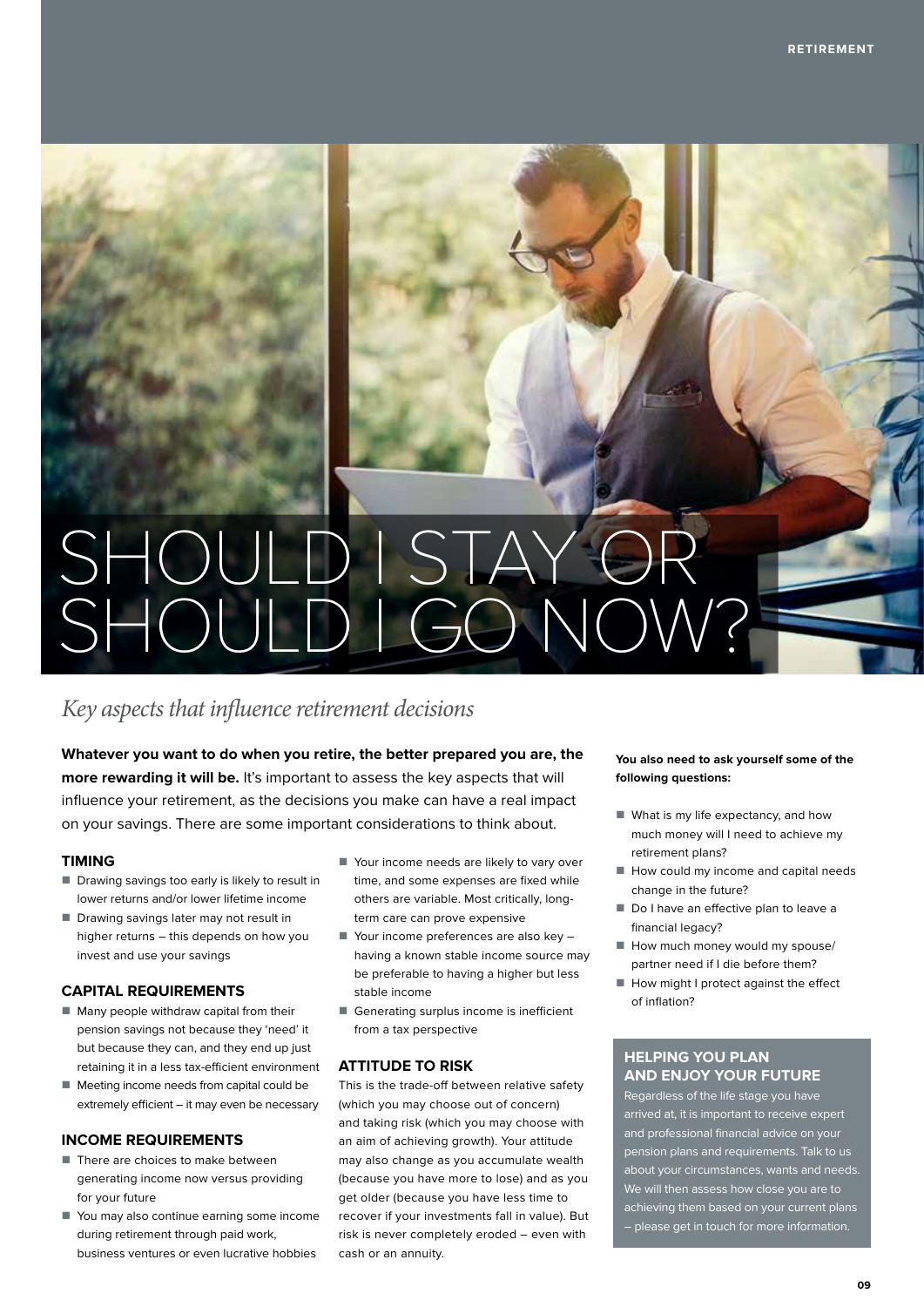## SHOULD I STAY OR SHOULD I GO NOW?

#### *Key aspects that influence retirement decisions*

**Whatever you want to do when you retire, the better prepared you are, the more rewarding it will be.** It's important to assess the key aspects that will influence your retirement, as the decisions you make can have a real impact on your savings. There are some important considerations to think about.

#### **TIMING**

- $\blacksquare$  Drawing savings too early is likely to result in lower returns and/or lower lifetime income
- Drawing savings later may not result in higher returns – this depends on how you invest and use your savings

#### **CAPITAL REQUIREMENTS**

- $\blacksquare$  Many people withdraw capital from their pension savings not because they 'need' it but because they can, and they end up just retaining it in a less tax-efficient environment
- $\blacksquare$  Meeting income needs from capital could be extremely efficient – it may even be necessary

#### **INCOME REQUIREMENTS**

- $\blacksquare$  There are choices to make between generating income now versus providing for your future
- $\blacksquare$  You may also continue earning some income during retirement through paid work, business ventures or even lucrative hobbies
- Your income needs are likely to vary over time, and some expenses are fixed while others are variable. Most critically, longterm care can prove expensive
- $\blacksquare$  Your income preferences are also key having a known stable income source may be preferable to having a higher but less stable income
- $\blacksquare$  Generating surplus income is inefficient from a tax perspective

#### **ATTITUDE TO RISK**

This is the trade-off between relative safety (which you may choose out of concern) and taking risk (which you may choose with an aim of achieving growth). Your attitude may also change as you accumulate wealth (because you have more to lose) and as you get older (because you have less time to recover if your investments fall in value). But risk is never completely eroded – even with cash or an annuity.

**You also need to ask yourself some of the following questions:**

- $\blacksquare$  What is my life expectancy, and how much money will I need to achieve my retirement plans?
- $\blacksquare$  How could my income and capital needs change in the future?
- Do I have an effective plan to leave a financial legacy?
- $\blacksquare$  How much money would my spouse/ partner need if I die before them?
- $\blacksquare$  How might I protect against the effect of inflation?

#### **HELPING YOU PLAN AND ENJOY YOUR FUTURE**

Regardless of the life stage you have arrived at, it is important to receive expert and professional financial advice on your pension plans and requirements. Talk to us about your circumstances, wants and needs. We will then assess how close you are to achieving them based on your current plans – please get in touch for more information.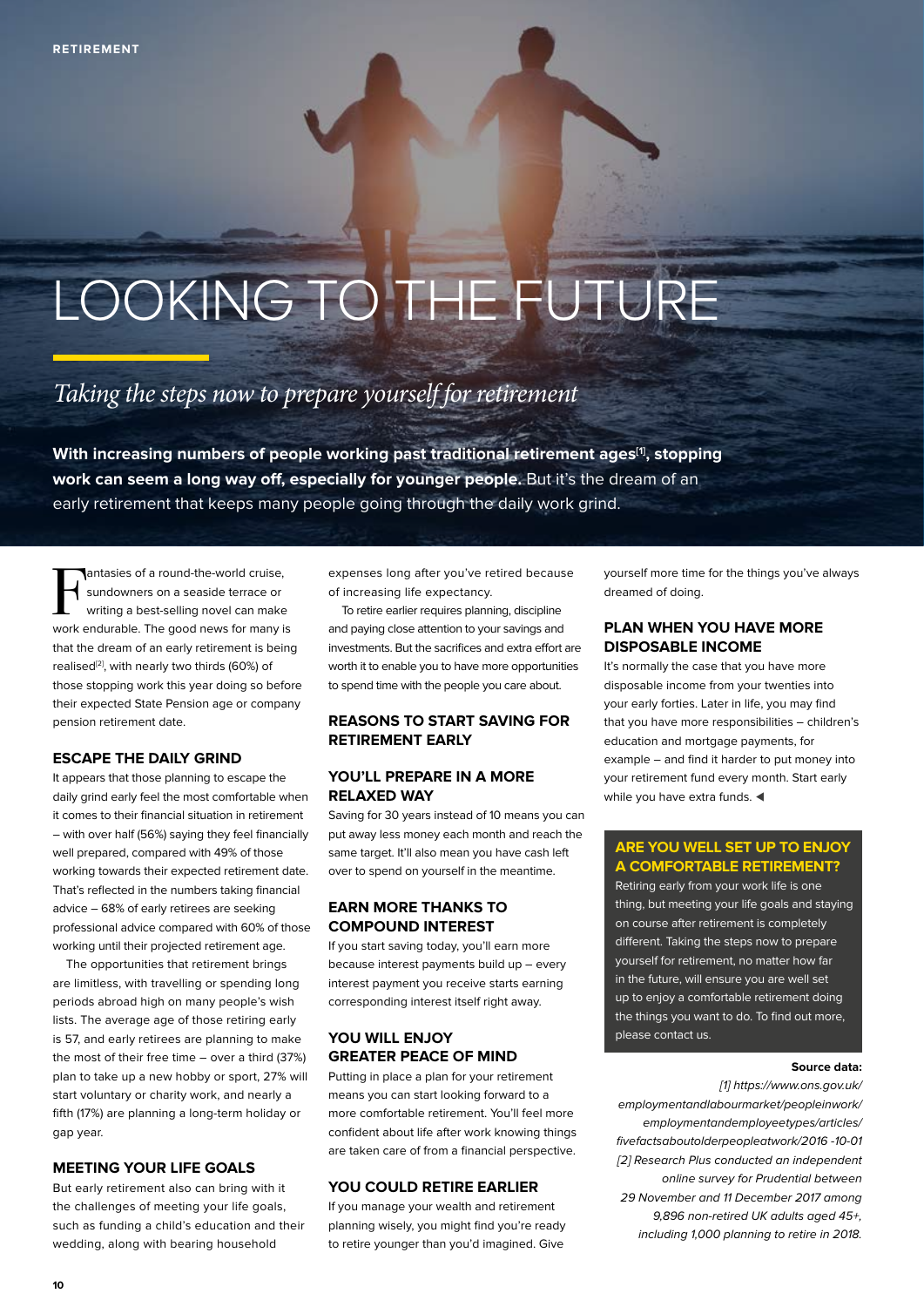## LOOKING TO THE FUTURE

### *Taking the steps now to prepare yourself for retirement*

With increasing numbers of people working past traditional retirement ages<sup>[1]</sup>, stopping **work can seem a long way off, especially for younger people.** But it's the dream of an early retirement that keeps many people going through the daily work grind.

F antasies of a round-the-world cruise, sundowners on a seaside terrace or writing a best-selling novel can make work endurable. The good news for many is that the dream of an early retirement is being realised<sup>[2]</sup>, with nearly two thirds (60%) of those stopping work this year doing so before their expected State Pension age or company pension retirement date.

#### **ESCAPE THE DAILY GRIND**

It appears that those planning to escape the daily grind early feel the most comfortable when it comes to their financial situation in retirement – with over half (56%) saying they feel financially well prepared, compared with 49% of those working towards their expected retirement date. That's reflected in the numbers taking financial advice – 68% of early retirees are seeking professional advice compared with 60% of those working until their projected retirement age.

The opportunities that retirement brings are limitless, with travelling or spending long periods abroad high on many people's wish lists. The average age of those retiring early is 57, and early retirees are planning to make the most of their free time – over a third (37%) plan to take up a new hobby or sport, 27% will start voluntary or charity work, and nearly a fifth (17%) are planning a long-term holiday or gap year.

#### **MEETING YOUR LIFE GOALS**

But early retirement also can bring with it the challenges of meeting your life goals, such as funding a child's education and their wedding, along with bearing household

expenses long after you've retired because of increasing life expectancy.

To retire earlier requires planning, discipline and paying close attention to your savings and investments. But the sacrifices and extra effort are worth it to enable you to have more opportunities to spend time with the people you care about.

#### **REASONS TO START SAVING FOR RETIREMENT EARLY**

#### **YOU'LL PREPARE IN A MORE RELAXED WAY**

Saving for 30 years instead of 10 means you can put away less money each month and reach the same target. It'll also mean you have cash left over to spend on yourself in the meantime.

#### **EARN MORE THANKS TO COMPOUND INTEREST**

If you start saving today, you'll earn more because interest payments build up – every interest payment you receive starts earning corresponding interest itself right away.

#### **YOU WILL ENJOY GREATER PEACE OF MIND**

Putting in place a plan for your retirement means you can start looking forward to a more comfortable retirement. You'll feel more confident about life after work knowing things are taken care of from a financial perspective.

#### **YOU COULD RETIRE EARLIER**

If you manage your wealth and retirement planning wisely, you might find you're ready to retire younger than you'd imagined. Give

yourself more time for the things you've always dreamed of doing.

#### **PLAN WHEN YOU HAVE MORE DISPOSABLE INCOME**

It's normally the case that you have more disposable income from your twenties into your early forties. Later in life, you may find that you have more responsibilities – children's education and mortgage payments, for example – and find it harder to put money into your retirement fund every month. Start early while you have extra funds.  $\blacktriangleleft$ 

#### **ARE YOU WELL SET UP TO ENJOY A COMFORTABLE RETIREMENT?**

Retiring early from your work life is one thing, but meeting your life goals and staying on course after retirement is completely different. Taking the steps now to prepare yourself for retirement, no matter how far in the future, will ensure you are well set up to enjoy a comfortable retirement doing the things you want to do. To find out more, please contact us.

#### **Source data:**

[1] https://www.ons.gov.uk/ employmentandlabourmarket/peopleinwork/ employmentandemployeetypes/articles/ fivefactsaboutolderpeopleatwork/2016 -10-01 [2] Research Plus conducted an independent online survey for Prudential between 29 November and 11 December 2017 among 9,896 non-retired UK adults aged 45+, including 1,000 planning to retire in 2018.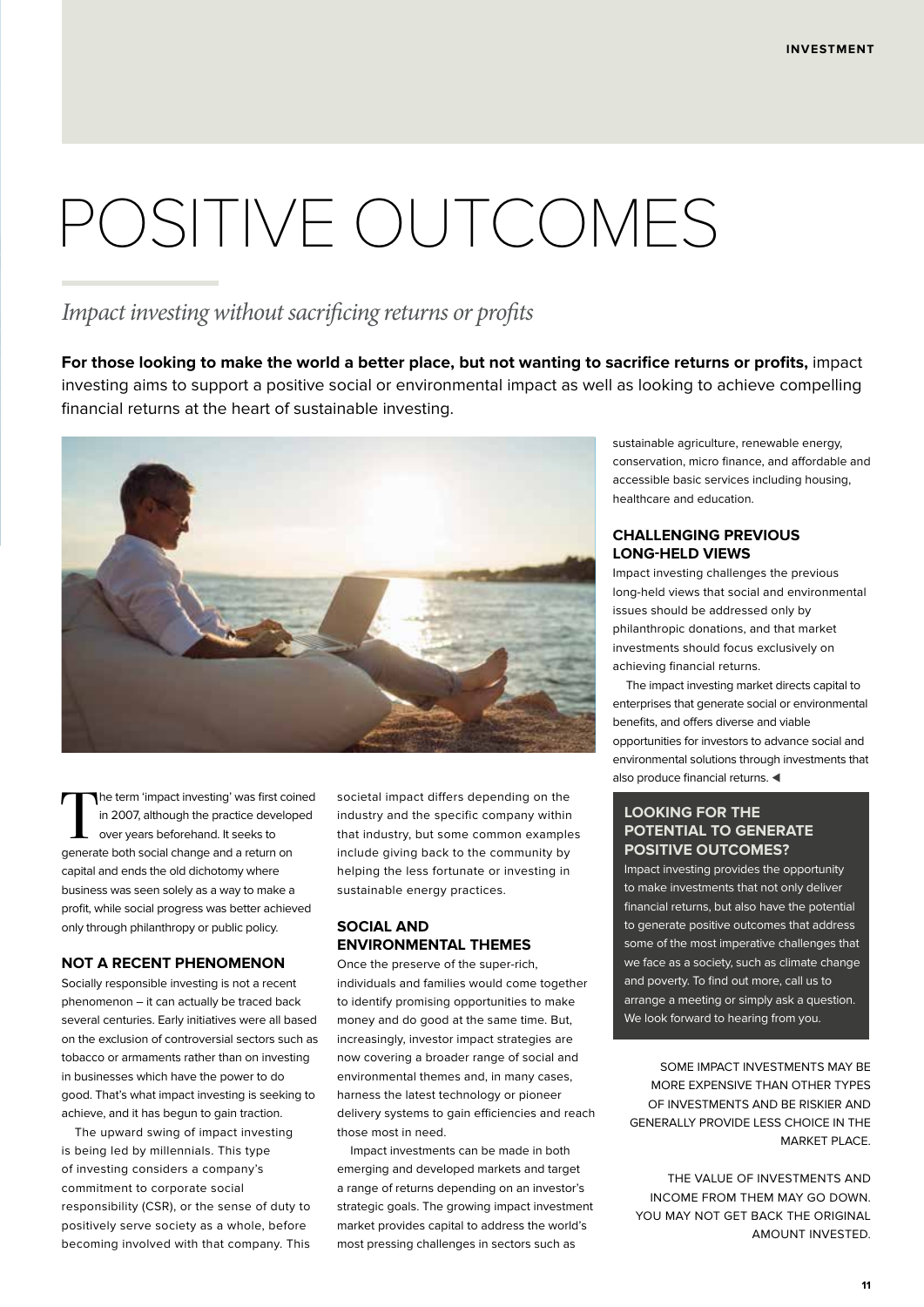## POSITIVE OUTCOMES

#### *Impact investing without sacrificing returns or profits*

**For those looking to make the world a better place, but not wanting to sacrifice returns or profits,** impact investing aims to support a positive social or environmental impact as well as looking to achieve compelling financial returns at the heart of sustainable investing.



The term 'impact investing' was first coined in 2007, although the practice developed over years beforehand. It seeks to generate both social change and a return on capital and ends the old dichotomy where business was seen solely as a way to make a profit, while social progress was better achieved only through philanthropy or public policy.

#### **NOT A RECENT PHENOMENON**

Socially responsible investing is not a recent phenomenon – it can actually be traced back several centuries. Early initiatives were all based on the exclusion of controversial sectors such as tobacco or armaments rather than on investing in businesses which have the power to do good. That's what impact investing is seeking to achieve, and it has begun to gain traction.

The upward swing of impact investing is being led by millennials. This type of investing considers a company's commitment to corporate social responsibility (CSR), or the sense of duty to positively serve society as a whole, before becoming involved with that company. This

societal impact differs depending on the industry and the specific company within that industry, but some common examples include giving back to the community by helping the less fortunate or investing in sustainable energy practices.

#### **SOCIAL AND ENVIRONMENTAL THEMES**

Once the preserve of the super-rich individuals and families would come together to identify promising opportunities to make money and do good at the same time. But, increasingly, investor impact strategies are now covering a broader range of social and environmental themes and, in many cases, harness the latest technology or pioneer delivery systems to gain efficiencies and reach those most in need.

Impact investments can be made in both emerging and developed markets and target a range of returns depending on an investor's strategic goals. The growing impact investment market provides capital to address the world's most pressing challenges in sectors such as

sustainable agriculture, renewable energy, conservation, micro finance, and affordable and accessible basic services including housing, healthcare and education.

#### **CHALLENGING PREVIOUS LONG-HELD VIEWS**

Impact investing challenges the previous long-held views that social and environmental issues should be addressed only by philanthropic donations, and that market investments should focus exclusively on achieving financial returns.

The impact investing market directs capital to enterprises that generate social or environmental benefits, and offers diverse and viable opportunities for investors to advance social and environmental solutions through investments that also produce financial returns.

#### **LOOKING FOR THE POTENTIAL TO GENERATE POSITIVE OUTCOMES?**

Impact investing provides the opportunity to make investments that not only deliver financial returns, but also have the potential to generate positive outcomes that address some of the most imperative challenges that we face as a society, such as climate change and poverty. To find out more, call us to arrange a meeting or simply ask a question. We look forward to hearing from you.

SOME IMPACT INVESTMENTS MAY BE MORE EXPENSIVE THAN OTHER TYPES OF INVESTMENTS AND BE RISKIER AND GENERALLY PROVIDE LESS CHOICE IN THE MARKET PLACE.

THE VALUE OF INVESTMENTS AND INCOME FROM THEM MAY GO DOWN. YOU MAY NOT GET BACK THE ORIGINAL AMOUNT INVESTED.